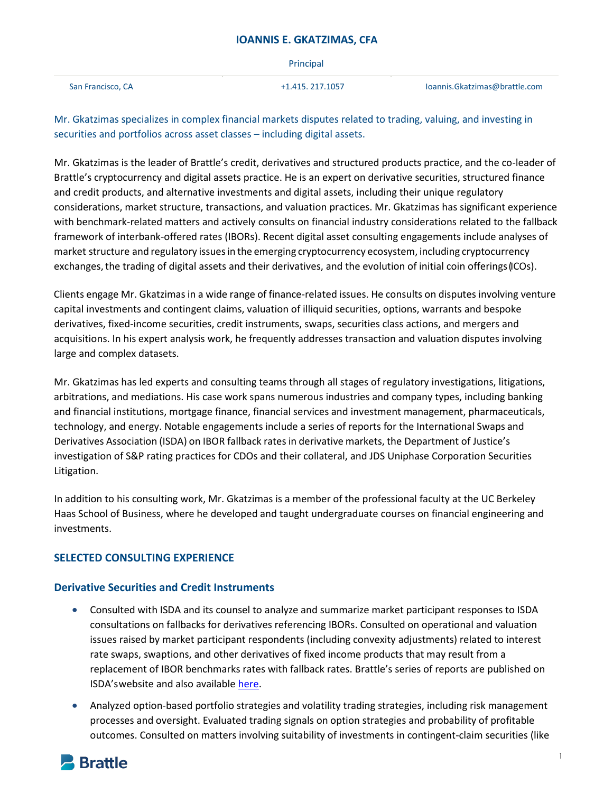|                   | Principal        |                               |
|-------------------|------------------|-------------------------------|
| San Francisco, CA | +1.415, 217.1057 | loannis.Gkatzimas@brattle.com |

Mr. Gkatzimas specializes in complex financial markets disputes related to trading, valuing, and investing in securities and portfolios across asset classes – including digital assets.

Mr. Gkatzimas is the leader of Brattle's credit, derivatives and structured products practice, and the co-leader of Brattle's cryptocurrency and digital assets practice. He is an expert on derivative securities, structured finance and credit products, and alternative investments and digital assets, including their unique regulatory considerations, market structure, transactions, and valuation practices. Mr. Gkatzimas has significant experience with benchmark-related matters and actively consults on financial industry considerations related to the fallback framework of interbank-offered rates (IBORs). Recent digital asset consulting engagements include analyses of market structure and regulatory issuesin the emerging cryptocurrency ecosystem, including cryptocurrency exchanges, the trading of digital assets and their derivatives, and the evolution of initial coin offerings (ICOs).

Clients engage Mr. Gkatzimas in a wide range of finance-related issues. He consults on disputes involving venture capital investments and contingent claims, valuation of illiquid securities, options, warrants and bespoke derivatives, fixed-income securities, credit instruments, swaps, securities class actions, and mergers and acquisitions. In his expert analysis work, he frequently addresses transaction and valuation disputes involving large and complex datasets.

Mr. Gkatzimas has led experts and consulting teams through all stages of regulatory investigations, litigations, arbitrations, and mediations. His case work spans numerous industries and company types, including banking and financial institutions, mortgage finance, financial services and investment management, pharmaceuticals, technology, and energy. Notable engagements include a series of reports for the International Swaps and Derivatives Association (ISDA) on IBOR fallback rates in derivative markets, the Department of Justice's investigation of S&P rating practices for CDOs and their collateral, and JDS Uniphase Corporation Securities Litigation.

In addition to his consulting work, Mr. Gkatzimas is a member of the professional faculty at the UC Berkeley Haas School of Business, where he developed and taught undergraduate courses on financial engineering and investments.

## **SELECTED CONSULTING EXPERIENCE**

## **Derivative Securities and Credit Instruments**

- Consulted with ISDA and its counsel to analyze and summarize market participant responses to ISDA consultations on fallbacks for derivatives referencing IBORs. Consulted on operational and valuation issues raised by market participant respondents (including convexity adjustments) related to interest rate swaps, swaptions, and other derivatives of fixed income products that may result from a replacement of IBOR benchmarks rates with fallback rates. Brattle's series of reports are published on ISDA'swebsite and also available [here.](https://www.brattle.com/understanding-ibor-benchmark-fallbacks/)
- Analyzed option-based portfolio strategies and volatility trading strategies, including risk management processes and oversight. Evaluated trading signals on option strategies and probability of profitable outcomes. Consulted on matters involving suitability of investments in contingent-claim securities (like

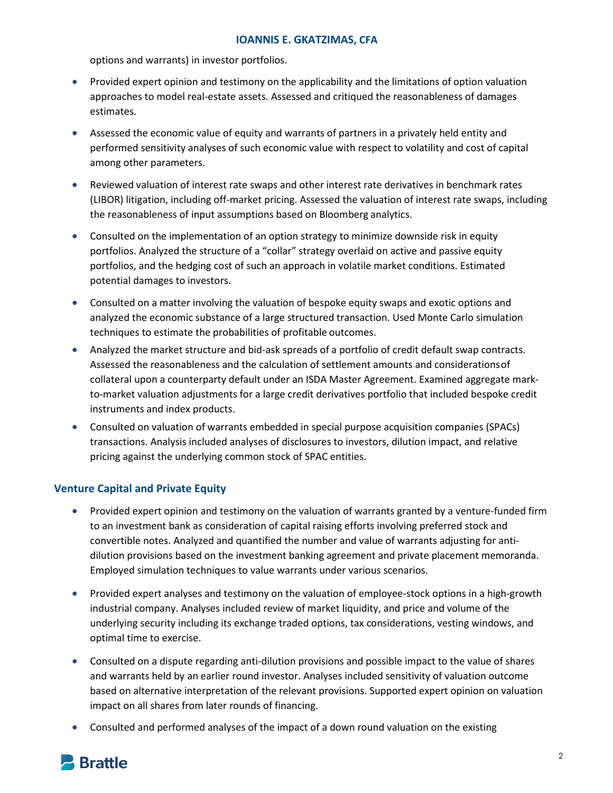options and warrants) in investor portfolios.

- Provided expert opinion and testimony on the applicability and the limitations of option valuation approaches to model real-estate assets. Assessed and critiqued the reasonableness of damages estimates.
- Assessed the economic value of equity and warrants of partners in a privately held entity and performed sensitivity analyses of such economic value with respect to volatility and cost of capital among other parameters.
- Reviewed valuation of interest rate swaps and other interest rate derivatives in benchmark rates (LIBOR) litigation, including off-market pricing. Assessed the valuation of interest rate swaps, including the reasonableness of input assumptions based on Bloomberg analytics.
- Consulted on the implementation of an option strategy to minimize downside risk in equity portfolios. Analyzed the structure of a "collar" strategy overlaid on active and passive equity portfolios, and the hedging cost of such an approach in volatile market conditions. Estimated potential damages to investors.
- Consulted on a matter involving the valuation of bespoke equity swaps and exotic options and analyzed the economic substance of a large structured transaction. Used Monte Carlo simulation techniques to estimate the probabilities of profitable outcomes.
- Analyzed the market structure and bid-ask spreads of a portfolio of credit default swap contracts. Assessed the reasonableness and the calculation of settlement amounts and considerationsof collateral upon a counterparty default under an ISDA Master Agreement. Examined aggregate markto-market valuation adjustments for a large credit derivatives portfolio that included bespoke credit instruments and index products.
- Consulted on valuation of warrants embedded in special purpose acquisition companies (SPACs) transactions. Analysis included analyses of disclosures to investors, dilution impact, and relative pricing against the underlying common stock of SPAC entities.

## **Venture Capital and Private Equity**

- Provided expert opinion and testimony on the valuation of warrants granted by a venture-funded firm to an investment bank as consideration of capital raising efforts involving preferred stock and convertible notes. Analyzed and quantified the number and value of warrants adjusting for antidilution provisions based on the investment banking agreement and private placement memoranda. Employed simulation techniques to value warrants under various scenarios.
- Provided expert analyses and testimony on the valuation of employee-stock options in a high-growth industrial company. Analyses included review of market liquidity, and price and volume of the underlying security including its exchange traded options, tax considerations, vesting windows, and optimal time to exercise.
- Consulted on a dispute regarding anti-dilution provisions and possible impact to the value of shares and warrants held by an earlier round investor. Analyses included sensitivity of valuation outcome based on alternative interpretation of the relevant provisions. Supported expert opinion on valuation impact on all shares from later rounds of financing.
- Consulted and performed analyses of the impact of a down round valuation on the existing

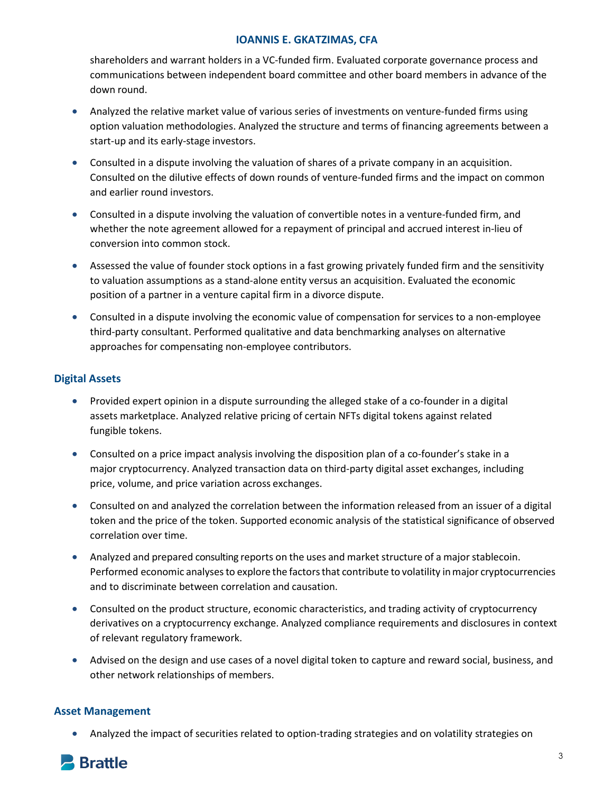shareholders and warrant holders in a VC-funded firm. Evaluated corporate governance process and communications between independent board committee and other board members in advance of the down round.

- Analyzed the relative market value of various series of investments on venture-funded firms using option valuation methodologies. Analyzed the structure and terms of financing agreements between a start-up and its early-stage investors.
- Consulted in a dispute involving the valuation of shares of a private company in an acquisition. Consulted on the dilutive effects of down rounds of venture-funded firms and the impact on common and earlier round investors.
- Consulted in a dispute involving the valuation of convertible notes in a venture-funded firm, and whether the note agreement allowed for a repayment of principal and accrued interest in-lieu of conversion into common stock.
- Assessed the value of founder stock options in a fast growing privately funded firm and the sensitivity to valuation assumptions as a stand-alone entity versus an acquisition. Evaluated the economic position of a partner in a venture capital firm in a divorce dispute.
- Consulted in a dispute involving the economic value of compensation for services to a non-employee third-party consultant. Performed qualitative and data benchmarking analyses on alternative approaches for compensating non-employee contributors.

## **Digital Assets**

- Provided expert opinion in a dispute surrounding the alleged stake of a co-founder in a digital assets marketplace. Analyzed relative pricing of certain NFTs digital tokens against related fungible tokens.
- Consulted on a price impact analysis involving the disposition plan of a co-founder's stake in a major cryptocurrency. Analyzed transaction data on third-party digital asset exchanges, including price, volume, and price variation across exchanges.
- Consulted on and analyzed the correlation between the information released from an issuer of a digital token and the price of the token. Supported economic analysis of the statistical significance of observed correlation over time.
- Analyzed and prepared consulting reports on the uses and market structure of a major stablecoin. Performed economic analyses to explore the factors that contribute to volatility in major cryptocurrencies and to discriminate between correlation and causation.
- Consulted on the product structure, economic characteristics, and trading activity of cryptocurrency derivatives on a cryptocurrency exchange. Analyzed compliance requirements and disclosures in context of relevant regulatory framework.
- Advised on the design and use cases of a novel digital token to capture and reward social, business, and other network relationships of members.

## **Asset Management**

• Analyzed the impact of securities related to option-trading strategies and on volatility strategies on

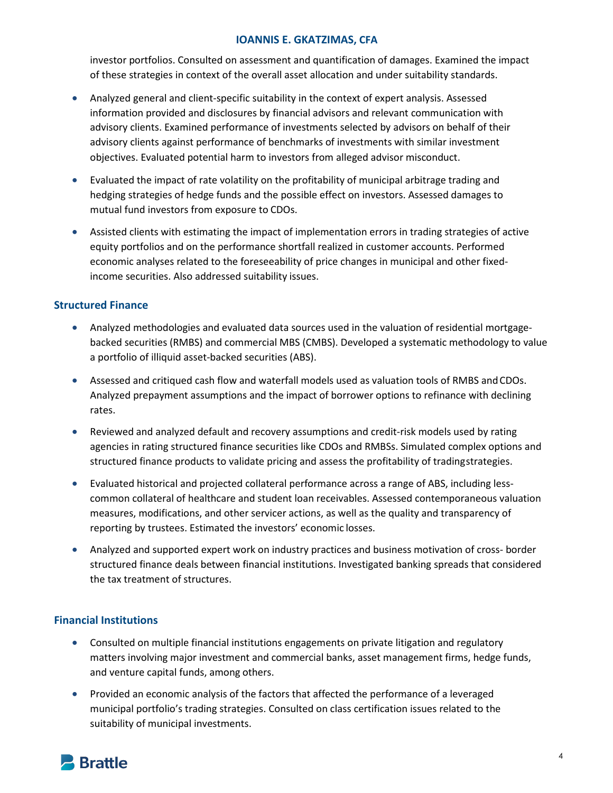investor portfolios. Consulted on assessment and quantification of damages. Examined the impact of these strategies in context of the overall asset allocation and under suitability standards.

- Analyzed general and client-specific suitability in the context of expert analysis. Assessed information provided and disclosures by financial advisors and relevant communication with advisory clients. Examined performance of investments selected by advisors on behalf of their advisory clients against performance of benchmarks of investments with similar investment objectives. Evaluated potential harm to investors from alleged advisor misconduct.
- Evaluated the impact of rate volatility on the profitability of municipal arbitrage trading and hedging strategies of hedge funds and the possible effect on investors. Assessed damages to mutual fund investors from exposure to CDOs.
- Assisted clients with estimating the impact of implementation errors in trading strategies of active equity portfolios and on the performance shortfall realized in customer accounts. Performed economic analyses related to the foreseeability of price changes in municipal and other fixedincome securities. Also addressed suitability issues.

## **Structured Finance**

- Analyzed methodologies and evaluated data sources used in the valuation of residential mortgagebacked securities (RMBS) and commercial MBS (CMBS). Developed a systematic methodology to value a portfolio of illiquid asset-backed securities (ABS).
- Assessed and critiqued cash flow and waterfall models used as valuation tools of RMBS andCDOs. Analyzed prepayment assumptions and the impact of borrower options to refinance with declining rates.
- Reviewed and analyzed default and recovery assumptions and credit-risk models used by rating agencies in rating structured finance securities like CDOs and RMBSs. Simulated complex options and structured finance products to validate pricing and assess the profitability of tradingstrategies.
- Evaluated historical and projected collateral performance across a range of ABS, including lesscommon collateral of healthcare and student loan receivables. Assessed contemporaneous valuation measures, modifications, and other servicer actions, as well as the quality and transparency of reporting by trustees. Estimated the investors' economic losses.
- Analyzed and supported expert work on industry practices and business motivation of cross- border structured finance deals between financial institutions. Investigated banking spreads that considered the tax treatment of structures.

# **Financial Institutions**

- Consulted on multiple financial institutions engagements on private litigation and regulatory matters involving major investment and commercial banks, asset management firms, hedge funds, and venture capital funds, among others.
- Provided an economic analysis of the factors that affected the performance of a leveraged municipal portfolio's trading strategies. Consulted on class certification issues related to the suitability of municipal investments.

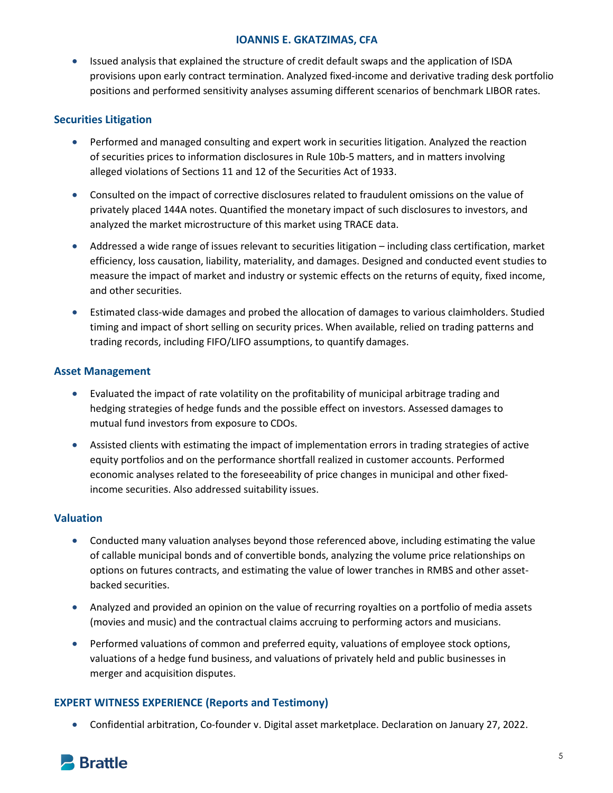• Issued analysis that explained the structure of credit default swaps and the application of ISDA provisions upon early contract termination. Analyzed fixed-income and derivative trading desk portfolio positions and performed sensitivity analyses assuming different scenarios of benchmark LIBOR rates.

## **Securities Litigation**

- Performed and managed consulting and expert work in securities litigation. Analyzed the reaction of securities prices to information disclosures in Rule 10b-5 matters, and in matters involving alleged violations of Sections 11 and 12 of the Securities Act of 1933.
- Consulted on the impact of corrective disclosures related to fraudulent omissions on the value of privately placed 144A notes. Quantified the monetary impact of such disclosures to investors, and analyzed the market microstructure of this market using TRACE data.
- Addressed a wide range of issues relevant to securities litigation including class certification, market efficiency, loss causation, liability, materiality, and damages. Designed and conducted event studies to measure the impact of market and industry or systemic effects on the returns of equity, fixed income, and other securities.
- Estimated class-wide damages and probed the allocation of damages to various claimholders. Studied timing and impact of short selling on security prices. When available, relied on trading patterns and trading records, including FIFO/LIFO assumptions, to quantify damages.

## **Asset Management**

- Evaluated the impact of rate volatility on the profitability of municipal arbitrage trading and hedging strategies of hedge funds and the possible effect on investors. Assessed damages to mutual fund investors from exposure to CDOs.
- Assisted clients with estimating the impact of implementation errors in trading strategies of active equity portfolios and on the performance shortfall realized in customer accounts. Performed economic analyses related to the foreseeability of price changes in municipal and other fixedincome securities. Also addressed suitability issues.

## **Valuation**

- Conducted many valuation analyses beyond those referenced above, including estimating the value of callable municipal bonds and of convertible bonds, analyzing the volume price relationships on options on futures contracts, and estimating the value of lower tranches in RMBS and other assetbacked securities.
- Analyzed and provided an opinion on the value of recurring royalties on a portfolio of media assets (movies and music) and the contractual claims accruing to performing actors and musicians.
- Performed valuations of common and preferred equity, valuations of employee stock options, valuations of a hedge fund business, and valuations of privately held and public businesses in merger and acquisition disputes.

## **EXPERT WITNESS EXPERIENCE (Reports and Testimony)**

• Confidential arbitration, Co-founder v. Digital asset marketplace. Declaration on January 27, 2022.

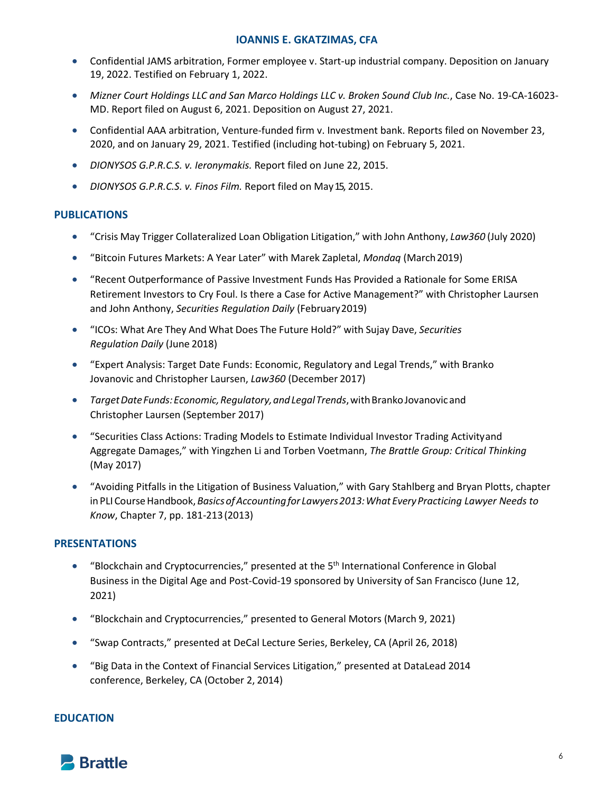- Confidential JAMS arbitration, Former employee v. Start-up industrial company. Deposition on January 19, 2022. Testified on February 1, 2022.
- *Mizner Court Holdings LLC and San Marco Holdings LLC v. Broken Sound Club Inc.*, Case No. 19-CA-16023- MD. Report filed on August 6, 2021. Deposition on August 27, 2021.
- Confidential AAA arbitration, Venture-funded firm v. Investment bank. Reports filed on November 23, 2020, and on January 29, 2021. Testified (including hot-tubing) on February 5, 2021.
- *DIONYSOS G.P.R.C.S. v. Ieronymakis.* Report filed on June 22, 2015.
- *DIONYSOS G.P.R.C.S. v. Finos Film.* Report filed on May15, 2015.

### **PUBLICATIONS**

- "Crisis May Trigger Collateralized Loan Obligation Litigation," with John Anthony, *Law360* (July 2020)
- "Bitcoin Futures Markets: A Year Later" with Marek Zapletal, *Mondaq* (March2019)
- "Recent Outperformance of Passive Investment Funds Has Provided a Rationale for Some ERISA Retirement Investors to Cry Foul. Is there a Case for Active Management?" with Christopher Laursen and John Anthony, *Securities Regulation Daily* (February2019)
- "ICOs: What Are They And What Does The Future Hold?" with Sujay Dave, *Securities Regulation Daily* (June 2018)
- "Expert Analysis: Target Date Funds: Economic, Regulatory and Legal Trends," with Branko Jovanovic and Christopher Laursen, *Law360* (December 2017)
- *TargetDateFunds:Economic,Regulatory,andLegalTrends*,withBrankoJovanovicand Christopher Laursen (September 2017)
- "Securities Class Actions: Trading Models to Estimate Individual Investor Trading Activityand Aggregate Damages," with Yingzhen Li and Torben Voetmann, *The Brattle Group: Critical Thinking*  (May 2017)
- "Avoiding Pitfalls in the Litigation of Business Valuation," with Gary Stahlberg and Bryan Plotts, chapter inPLICourseHandbook,*BasicsofAccountingfor Lawyers2013:WhatEveryPracticing Lawyer Needs to Know*, Chapter 7, pp. 181-213(2013)

#### **PRESENTATIONS**

- "Blockchain and Cryptocurrencies," presented at the  $5<sup>th</sup>$  International Conference in Global Business in the Digital Age and Post-Covid-19 sponsored by University of San Francisco (June 12, 2021)
- "Blockchain and Cryptocurrencies," presented to General Motors (March 9, 2021)
- "Swap Contracts," presented at DeCal Lecture Series, Berkeley, CA (April 26, 2018)
- "Big Data in the Context of Financial Services Litigation," presented at DataLead 2014 conference, Berkeley, CA (October 2, 2014)

#### **EDUCATION**